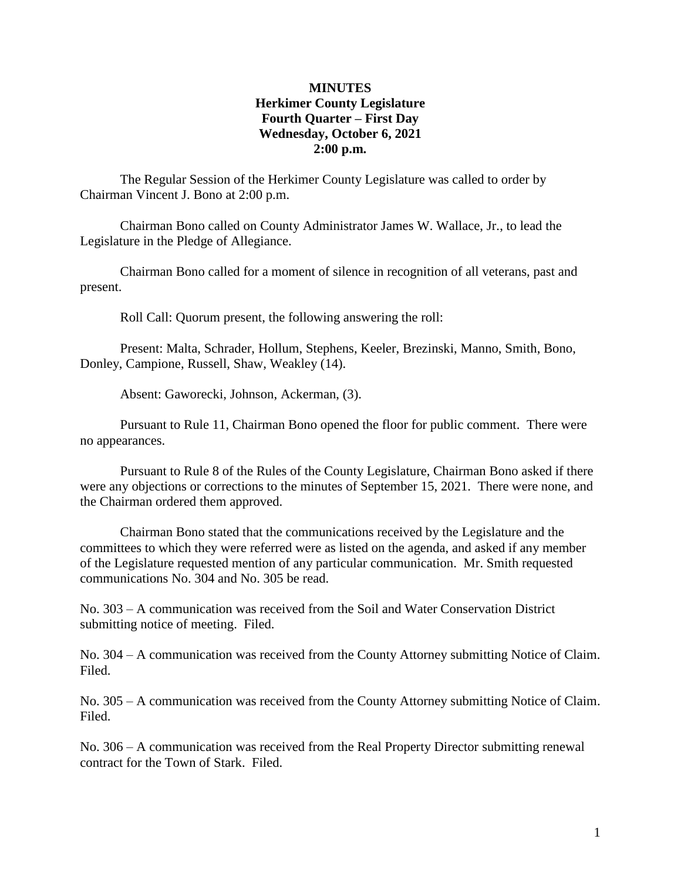#### **MINUTES Herkimer County Legislature Fourth Quarter – First Day Wednesday, October 6, 2021 2:00 p.m.**

The Regular Session of the Herkimer County Legislature was called to order by Chairman Vincent J. Bono at 2:00 p.m.

Chairman Bono called on County Administrator James W. Wallace, Jr., to lead the Legislature in the Pledge of Allegiance.

Chairman Bono called for a moment of silence in recognition of all veterans, past and present.

Roll Call: Quorum present, the following answering the roll:

Present: Malta, Schrader, Hollum, Stephens, Keeler, Brezinski, Manno, Smith, Bono, Donley, Campione, Russell, Shaw, Weakley (14).

Absent: Gaworecki, Johnson, Ackerman, (3).

Pursuant to Rule 11, Chairman Bono opened the floor for public comment. There were no appearances.

Pursuant to Rule 8 of the Rules of the County Legislature, Chairman Bono asked if there were any objections or corrections to the minutes of September 15, 2021. There were none, and the Chairman ordered them approved.

Chairman Bono stated that the communications received by the Legislature and the committees to which they were referred were as listed on the agenda, and asked if any member of the Legislature requested mention of any particular communication. Mr. Smith requested communications No. 304 and No. 305 be read.

No. 303 – A communication was received from the Soil and Water Conservation District submitting notice of meeting. Filed.

No. 304 – A communication was received from the County Attorney submitting Notice of Claim. Filed.

No. 305 – A communication was received from the County Attorney submitting Notice of Claim. Filed.

No. 306 – A communication was received from the Real Property Director submitting renewal contract for the Town of Stark. Filed.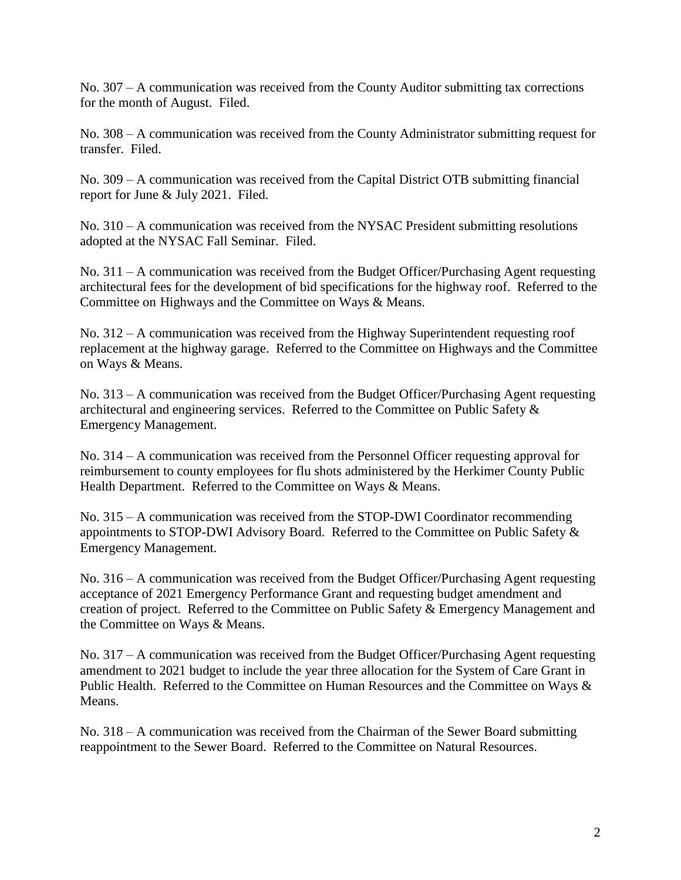No. 307 – A communication was received from the County Auditor submitting tax corrections for the month of August. Filed.

No. 308 – A communication was received from the County Administrator submitting request for transfer. Filed.

No. 309 – A communication was received from the Capital District OTB submitting financial report for June & July 2021. Filed.

No. 310 – A communication was received from the NYSAC President submitting resolutions adopted at the NYSAC Fall Seminar. Filed.

No. 311 – A communication was received from the Budget Officer/Purchasing Agent requesting architectural fees for the development of bid specifications for the highway roof. Referred to the Committee on Highways and the Committee on Ways & Means.

No. 312 – A communication was received from the Highway Superintendent requesting roof replacement at the highway garage. Referred to the Committee on Highways and the Committee on Ways & Means.

No. 313 – A communication was received from the Budget Officer/Purchasing Agent requesting architectural and engineering services. Referred to the Committee on Public Safety & Emergency Management.

No. 314 – A communication was received from the Personnel Officer requesting approval for reimbursement to county employees for flu shots administered by the Herkimer County Public Health Department. Referred to the Committee on Ways & Means.

No. 315 – A communication was received from the STOP-DWI Coordinator recommending appointments to STOP-DWI Advisory Board. Referred to the Committee on Public Safety & Emergency Management.

No. 316 – A communication was received from the Budget Officer/Purchasing Agent requesting acceptance of 2021 Emergency Performance Grant and requesting budget amendment and creation of project. Referred to the Committee on Public Safety & Emergency Management and the Committee on Ways & Means.

No. 317 – A communication was received from the Budget Officer/Purchasing Agent requesting amendment to 2021 budget to include the year three allocation for the System of Care Grant in Public Health. Referred to the Committee on Human Resources and the Committee on Ways & Means.

No. 318 – A communication was received from the Chairman of the Sewer Board submitting reappointment to the Sewer Board. Referred to the Committee on Natural Resources.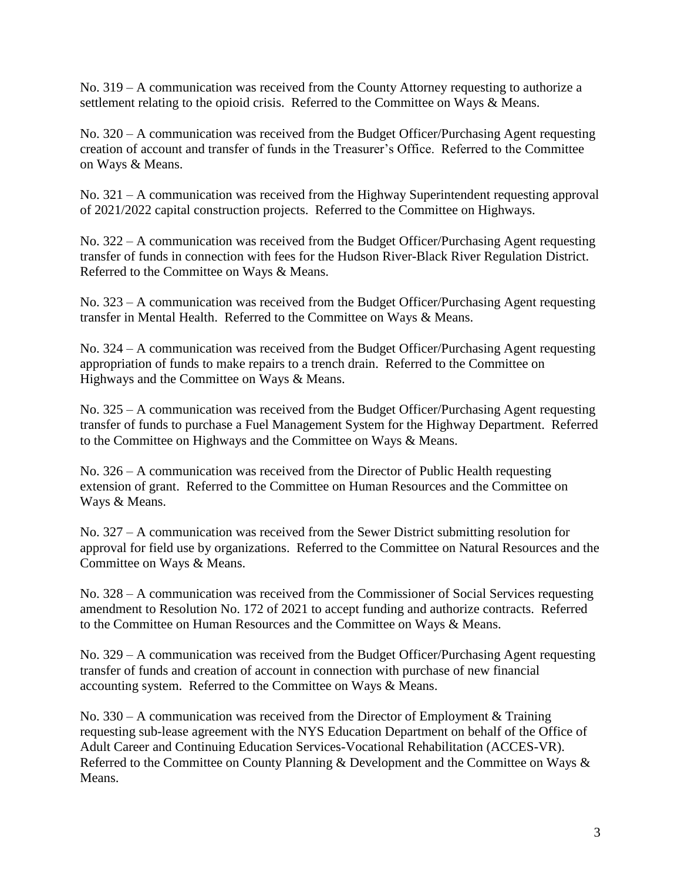No. 319 – A communication was received from the County Attorney requesting to authorize a settlement relating to the opioid crisis. Referred to the Committee on Ways & Means.

No. 320 – A communication was received from the Budget Officer/Purchasing Agent requesting creation of account and transfer of funds in the Treasurer's Office. Referred to the Committee on Ways & Means.

No. 321 – A communication was received from the Highway Superintendent requesting approval of 2021/2022 capital construction projects. Referred to the Committee on Highways.

No. 322 – A communication was received from the Budget Officer/Purchasing Agent requesting transfer of funds in connection with fees for the Hudson River-Black River Regulation District. Referred to the Committee on Ways & Means.

No. 323 – A communication was received from the Budget Officer/Purchasing Agent requesting transfer in Mental Health. Referred to the Committee on Ways & Means.

No. 324 – A communication was received from the Budget Officer/Purchasing Agent requesting appropriation of funds to make repairs to a trench drain. Referred to the Committee on Highways and the Committee on Ways & Means.

No. 325 – A communication was received from the Budget Officer/Purchasing Agent requesting transfer of funds to purchase a Fuel Management System for the Highway Department. Referred to the Committee on Highways and the Committee on Ways & Means.

No. 326 – A communication was received from the Director of Public Health requesting extension of grant. Referred to the Committee on Human Resources and the Committee on Ways & Means.

No. 327 – A communication was received from the Sewer District submitting resolution for approval for field use by organizations. Referred to the Committee on Natural Resources and the Committee on Ways & Means.

No. 328 – A communication was received from the Commissioner of Social Services requesting amendment to Resolution No. 172 of 2021 to accept funding and authorize contracts. Referred to the Committee on Human Resources and the Committee on Ways & Means.

No. 329 – A communication was received from the Budget Officer/Purchasing Agent requesting transfer of funds and creation of account in connection with purchase of new financial accounting system. Referred to the Committee on Ways & Means.

No.  $330 - A$  communication was received from the Director of Employment & Training requesting sub-lease agreement with the NYS Education Department on behalf of the Office of Adult Career and Continuing Education Services-Vocational Rehabilitation (ACCES-VR). Referred to the Committee on County Planning & Development and the Committee on Ways & Means.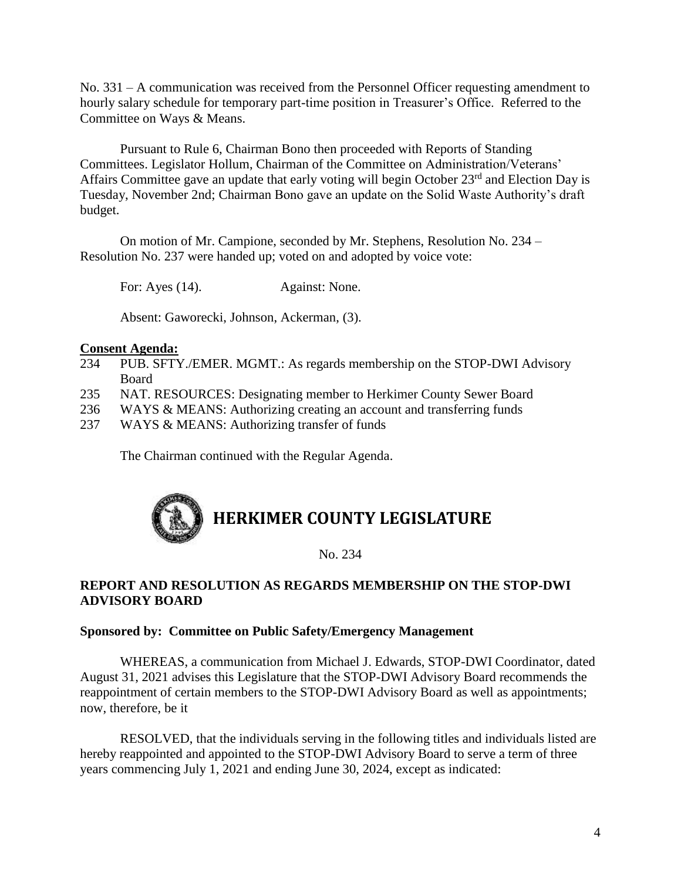No. 331 – A communication was received from the Personnel Officer requesting amendment to hourly salary schedule for temporary part-time position in Treasurer's Office. Referred to the Committee on Ways & Means.

Pursuant to Rule 6, Chairman Bono then proceeded with Reports of Standing Committees. Legislator Hollum, Chairman of the Committee on Administration/Veterans' Affairs Committee gave an update that early voting will begin October  $23<sup>rd</sup>$  and Election Day is Tuesday, November 2nd; Chairman Bono gave an update on the Solid Waste Authority's draft budget.

On motion of Mr. Campione, seconded by Mr. Stephens, Resolution No. 234 – Resolution No. 237 were handed up; voted on and adopted by voice vote:

For: Ayes (14). Against: None.

Absent: Gaworecki, Johnson, Ackerman, (3).

#### **Consent Agenda:**

- 234 PUB. SFTY./EMER. MGMT.: As regards membership on the STOP-DWI Advisory Board
- 235 NAT. RESOURCES: Designating member to Herkimer County Sewer Board
- 236 WAYS & MEANS: Authorizing creating an account and transferring funds
- 237 WAYS & MEANS: Authorizing transfer of funds

The Chairman continued with the Regular Agenda.

## **HERKIMER COUNTY LEGISLATURE**

No. 234

#### **REPORT AND RESOLUTION AS REGARDS MEMBERSHIP ON THE STOP-DWI ADVISORY BOARD**

#### **Sponsored by: Committee on Public Safety/Emergency Management**

WHEREAS, a communication from Michael J. Edwards, STOP-DWI Coordinator, dated August 31, 2021 advises this Legislature that the STOP-DWI Advisory Board recommends the reappointment of certain members to the STOP-DWI Advisory Board as well as appointments; now, therefore, be it

RESOLVED, that the individuals serving in the following titles and individuals listed are hereby reappointed and appointed to the STOP-DWI Advisory Board to serve a term of three years commencing July 1, 2021 and ending June 30, 2024, except as indicated: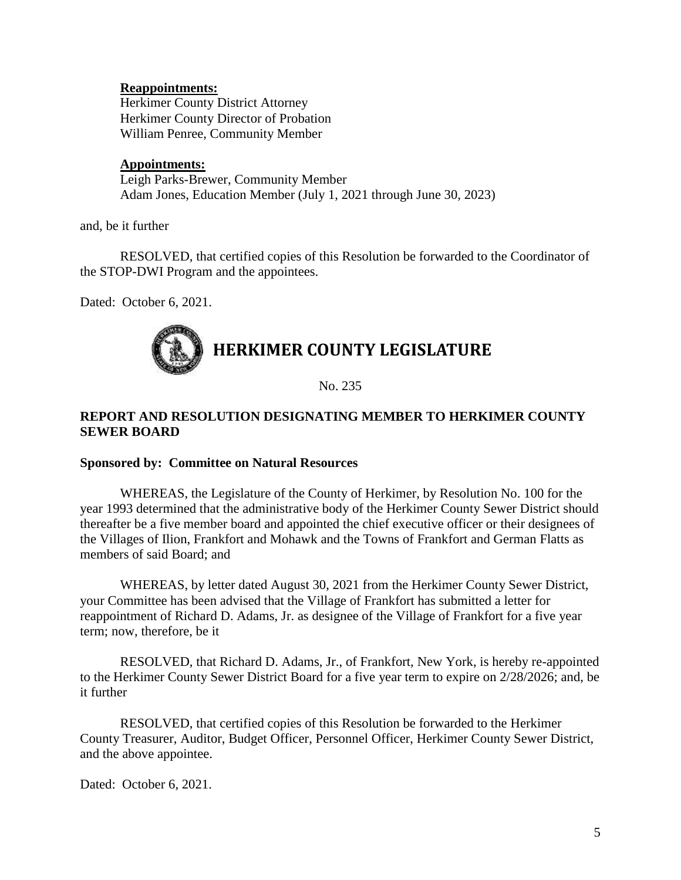#### **Reappointments:**

Herkimer County District Attorney Herkimer County Director of Probation William Penree, Community Member

#### **Appointments:**

Leigh Parks-Brewer, Community Member Adam Jones, Education Member (July 1, 2021 through June 30, 2023)

and, be it further

RESOLVED, that certified copies of this Resolution be forwarded to the Coordinator of the STOP-DWI Program and the appointees.

Dated: October 6, 2021.

### **HERKIMER COUNTY LEGISLATURE**

No. 235

#### **REPORT AND RESOLUTION DESIGNATING MEMBER TO HERKIMER COUNTY SEWER BOARD**

#### **Sponsored by: Committee on Natural Resources**

WHEREAS, the Legislature of the County of Herkimer, by Resolution No. 100 for the year 1993 determined that the administrative body of the Herkimer County Sewer District should thereafter be a five member board and appointed the chief executive officer or their designees of the Villages of Ilion, Frankfort and Mohawk and the Towns of Frankfort and German Flatts as members of said Board; and

WHEREAS, by letter dated August 30, 2021 from the Herkimer County Sewer District, your Committee has been advised that the Village of Frankfort has submitted a letter for reappointment of Richard D. Adams, Jr. as designee of the Village of Frankfort for a five year term; now, therefore, be it

RESOLVED, that Richard D. Adams, Jr., of Frankfort, New York, is hereby re-appointed to the Herkimer County Sewer District Board for a five year term to expire on 2/28/2026; and, be it further

RESOLVED, that certified copies of this Resolution be forwarded to the Herkimer County Treasurer, Auditor, Budget Officer, Personnel Officer, Herkimer County Sewer District, and the above appointee.

Dated: October 6, 2021.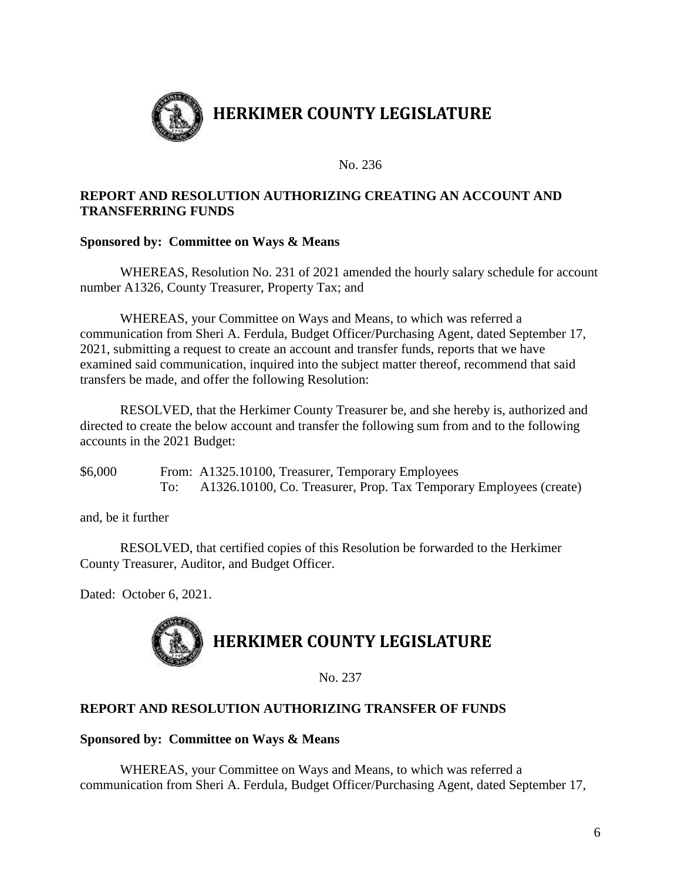

#### **REPORT AND RESOLUTION AUTHORIZING CREATING AN ACCOUNT AND TRANSFERRING FUNDS**

#### **Sponsored by: Committee on Ways & Means**

WHEREAS, Resolution No. 231 of 2021 amended the hourly salary schedule for account number A1326, County Treasurer, Property Tax; and

WHEREAS, your Committee on Ways and Means, to which was referred a communication from Sheri A. Ferdula, Budget Officer/Purchasing Agent, dated September 17, 2021, submitting a request to create an account and transfer funds, reports that we have examined said communication, inquired into the subject matter thereof, recommend that said transfers be made, and offer the following Resolution:

RESOLVED, that the Herkimer County Treasurer be, and she hereby is, authorized and directed to create the below account and transfer the following sum from and to the following accounts in the 2021 Budget:

\$6,000 From: A1325.10100, Treasurer, Temporary Employees To: A1326.10100, Co. Treasurer, Prop. Tax Temporary Employees (create)

and, be it further

RESOLVED, that certified copies of this Resolution be forwarded to the Herkimer County Treasurer, Auditor, and Budget Officer.

Dated: October 6, 2021.



No. 237

#### **REPORT AND RESOLUTION AUTHORIZING TRANSFER OF FUNDS**

#### **Sponsored by: Committee on Ways & Means**

WHEREAS, your Committee on Ways and Means, to which was referred a communication from Sheri A. Ferdula, Budget Officer/Purchasing Agent, dated September 17,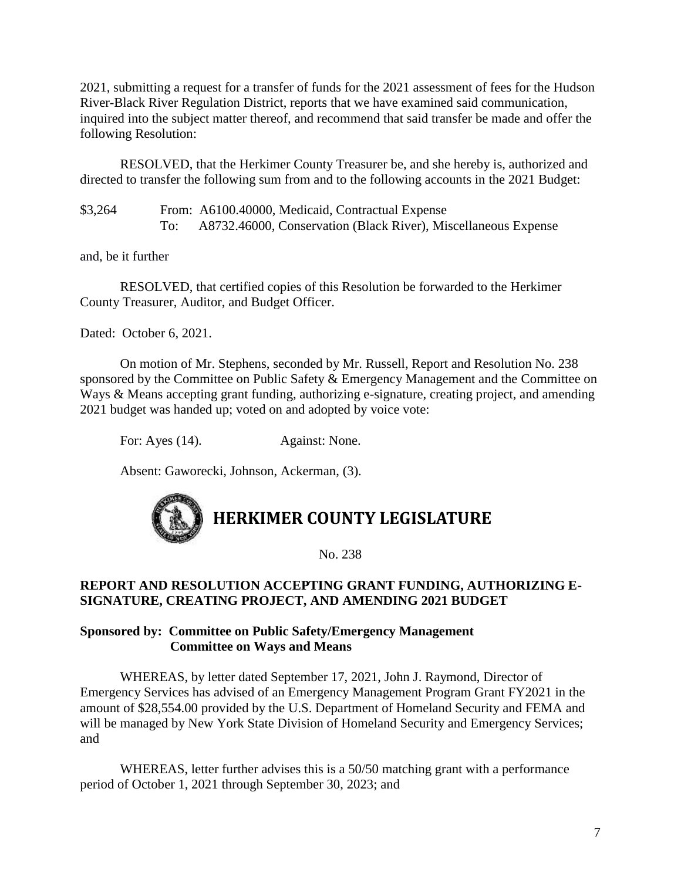2021, submitting a request for a transfer of funds for the 2021 assessment of fees for the Hudson River-Black River Regulation District, reports that we have examined said communication, inquired into the subject matter thereof, and recommend that said transfer be made and offer the following Resolution:

RESOLVED, that the Herkimer County Treasurer be, and she hereby is, authorized and directed to transfer the following sum from and to the following accounts in the 2021 Budget:

\$3,264 From: A6100.40000, Medicaid, Contractual Expense To: A8732.46000, Conservation (Black River), Miscellaneous Expense

and, be it further

RESOLVED, that certified copies of this Resolution be forwarded to the Herkimer County Treasurer, Auditor, and Budget Officer.

Dated: October 6, 2021.

On motion of Mr. Stephens, seconded by Mr. Russell, Report and Resolution No. 238 sponsored by the Committee on Public Safety & Emergency Management and the Committee on Ways & Means accepting grant funding, authorizing e-signature, creating project, and amending 2021 budget was handed up; voted on and adopted by voice vote:

For: Ayes (14). Against: None.

Absent: Gaworecki, Johnson, Ackerman, (3).

# **HERKIMER COUNTY LEGISLATURE**

No. 238

#### **REPORT AND RESOLUTION ACCEPTING GRANT FUNDING, AUTHORIZING E-SIGNATURE, CREATING PROJECT, AND AMENDING 2021 BUDGET**

#### **Sponsored by: Committee on Public Safety/Emergency Management Committee on Ways and Means**

WHEREAS, by letter dated September 17, 2021, John J. Raymond, Director of Emergency Services has advised of an Emergency Management Program Grant FY2021 in the amount of \$28,554.00 provided by the U.S. Department of Homeland Security and FEMA and will be managed by New York State Division of Homeland Security and Emergency Services; and

WHEREAS, letter further advises this is a 50/50 matching grant with a performance period of October 1, 2021 through September 30, 2023; and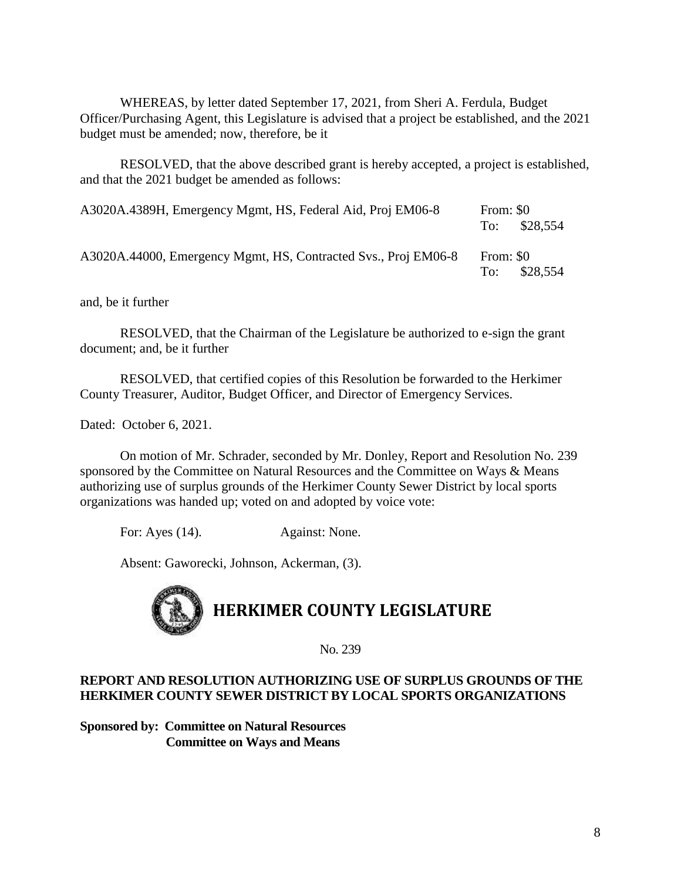WHEREAS, by letter dated September 17, 2021, from Sheri A. Ferdula, Budget Officer/Purchasing Agent, this Legislature is advised that a project be established, and the 2021 budget must be amended; now, therefore, be it

RESOLVED, that the above described grant is hereby accepted, a project is established, and that the 2021 budget be amended as follows:

| A3020A.4389H, Emergency Mgmt, HS, Federal Aid, Proj EM06-8     | From: \$0 | To: $$28,554$ |
|----------------------------------------------------------------|-----------|---------------|
| A3020A.44000, Emergency Mgmt, HS, Contracted Svs., Proj EM06-8 | From: \$0 | To: $$28.554$ |

and, be it further

RESOLVED, that the Chairman of the Legislature be authorized to e-sign the grant document; and, be it further

RESOLVED, that certified copies of this Resolution be forwarded to the Herkimer County Treasurer, Auditor, Budget Officer, and Director of Emergency Services.

Dated: October 6, 2021.

On motion of Mr. Schrader, seconded by Mr. Donley, Report and Resolution No. 239 sponsored by the Committee on Natural Resources and the Committee on Ways & Means authorizing use of surplus grounds of the Herkimer County Sewer District by local sports organizations was handed up; voted on and adopted by voice vote:

For: Ayes (14). Against: None.

Absent: Gaworecki, Johnson, Ackerman, (3).



No. 239

#### **REPORT AND RESOLUTION AUTHORIZING USE OF SURPLUS GROUNDS OF THE HERKIMER COUNTY SEWER DISTRICT BY LOCAL SPORTS ORGANIZATIONS**

**Sponsored by: Committee on Natural Resources Committee on Ways and Means**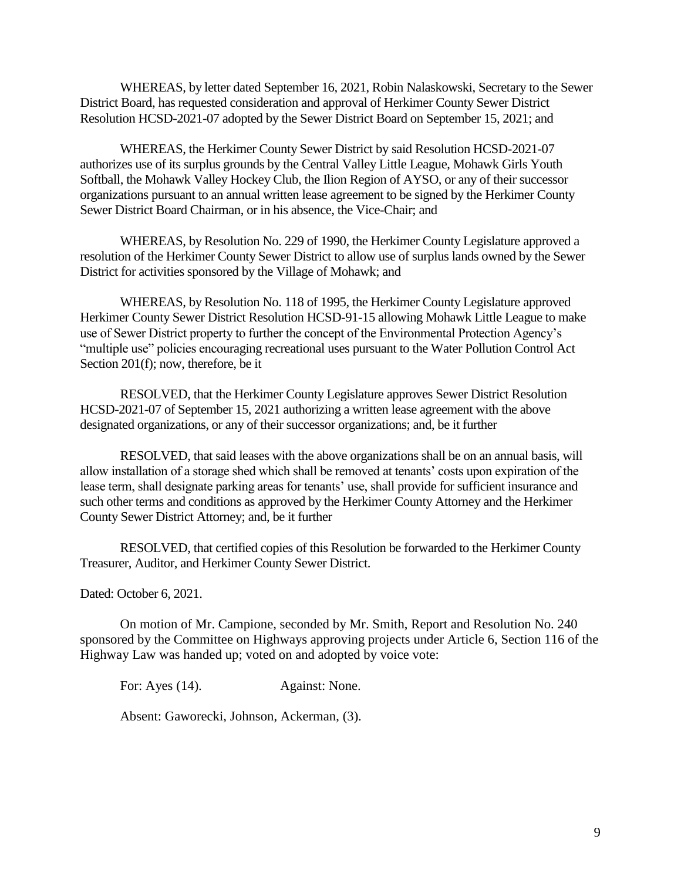WHEREAS, by letter dated September 16, 2021, Robin Nalaskowski, Secretary to the Sewer District Board, has requested consideration and approval of Herkimer County Sewer District Resolution HCSD-2021-07 adopted by the Sewer District Board on September 15, 2021; and

WHEREAS, the Herkimer County Sewer District by said Resolution HCSD-2021-07 authorizes use of its surplus grounds by the Central Valley Little League, Mohawk Girls Youth Softball, the Mohawk Valley Hockey Club, the Ilion Region of AYSO, or any of their successor organizations pursuant to an annual written lease agreement to be signed by the Herkimer County Sewer District Board Chairman, or in his absence, the Vice-Chair; and

WHEREAS, by Resolution No. 229 of 1990, the Herkimer County Legislature approved a resolution of the Herkimer County Sewer District to allow use of surplus lands owned by the Sewer District for activities sponsored by the Village of Mohawk; and

WHEREAS, by Resolution No. 118 of 1995, the Herkimer County Legislature approved Herkimer County Sewer District Resolution HCSD-91-15 allowing Mohawk Little League to make use of Sewer District property to further the concept of the Environmental Protection Agency's "multiple use" policies encouraging recreational uses pursuant to the Water Pollution Control Act Section 201(f); now, therefore, be it

RESOLVED, that the Herkimer County Legislature approves Sewer District Resolution HCSD-2021-07 of September 15, 2021 authorizing a written lease agreement with the above designated organizations, or any of their successor organizations; and, be it further

RESOLVED, that said leases with the above organizations shall be on an annual basis, will allow installation of a storage shed which shall be removed at tenants' costs upon expiration of the lease term, shall designate parking areas for tenants' use, shall provide for sufficient insurance and such other terms and conditions as approved by the Herkimer County Attorney and the Herkimer County Sewer District Attorney; and, be it further

RESOLVED, that certified copies of this Resolution be forwarded to the Herkimer County Treasurer, Auditor, and Herkimer County Sewer District.

Dated: October 6, 2021.

On motion of Mr. Campione, seconded by Mr. Smith, Report and Resolution No. 240 sponsored by the Committee on Highways approving projects under Article 6, Section 116 of the Highway Law was handed up; voted on and adopted by voice vote:

For: Ayes (14). Against: None.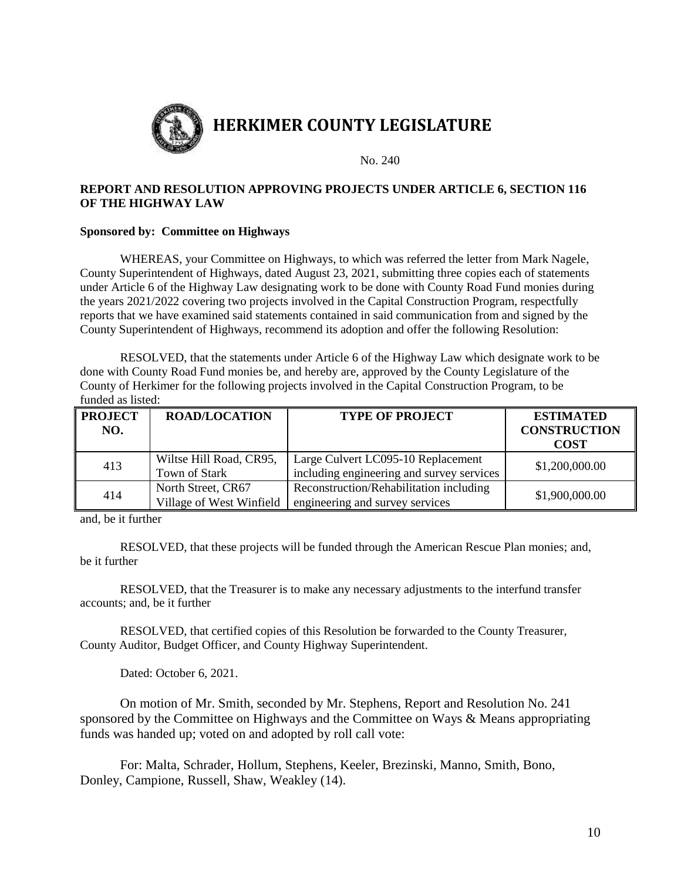

#### **REPORT AND RESOLUTION APPROVING PROJECTS UNDER ARTICLE 6, SECTION 116 OF THE HIGHWAY LAW**

#### **Sponsored by: Committee on Highways**

WHEREAS, your Committee on Highways, to which was referred the letter from Mark Nagele, County Superintendent of Highways, dated August 23, 2021, submitting three copies each of statements under Article 6 of the Highway Law designating work to be done with County Road Fund monies during the years 2021/2022 covering two projects involved in the Capital Construction Program, respectfully reports that we have examined said statements contained in said communication from and signed by the County Superintendent of Highways, recommend its adoption and offer the following Resolution:

RESOLVED, that the statements under Article 6 of the Highway Law which designate work to be done with County Road Fund monies be, and hereby are, approved by the County Legislature of the County of Herkimer for the following projects involved in the Capital Construction Program, to be funded as listed:

| <b>PROJECT</b><br>NO. | <b>ROAD/LOCATION</b>     | <b>TYPE OF PROJECT</b>                    | <b>ESTIMATED</b><br><b>CONSTRUCTION</b><br><b>COST</b> |  |
|-----------------------|--------------------------|-------------------------------------------|--------------------------------------------------------|--|
| 413                   | Wiltse Hill Road, CR95,  | Large Culvert LC095-10 Replacement        | \$1,200,000.00                                         |  |
|                       | Town of Stark            | including engineering and survey services |                                                        |  |
| 414                   | North Street, CR67       | Reconstruction/Rehabilitation including   | \$1,900,000.00                                         |  |
|                       | Village of West Winfield | engineering and survey services           |                                                        |  |

and, be it further

RESOLVED, that these projects will be funded through the American Rescue Plan monies; and, be it further

RESOLVED, that the Treasurer is to make any necessary adjustments to the interfund transfer accounts; and, be it further

RESOLVED, that certified copies of this Resolution be forwarded to the County Treasurer, County Auditor, Budget Officer, and County Highway Superintendent.

Dated: October 6, 2021.

On motion of Mr. Smith, seconded by Mr. Stephens, Report and Resolution No. 241 sponsored by the Committee on Highways and the Committee on Ways & Means appropriating funds was handed up; voted on and adopted by roll call vote:

For: Malta, Schrader, Hollum, Stephens, Keeler, Brezinski, Manno, Smith, Bono, Donley, Campione, Russell, Shaw, Weakley (14).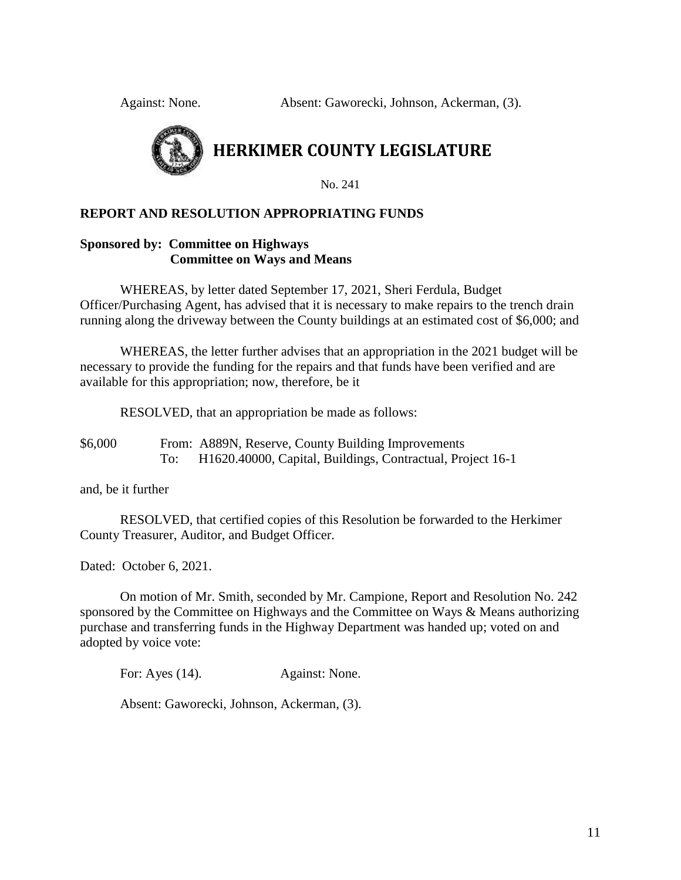Against: None. Absent: Gaworecki, Johnson, Ackerman, (3).



### **HERKIMER COUNTY LEGISLATURE**

No. 241

#### **REPORT AND RESOLUTION APPROPRIATING FUNDS**

#### **Sponsored by: Committee on Highways Committee on Ways and Means**

WHEREAS, by letter dated September 17, 2021, Sheri Ferdula, Budget Officer/Purchasing Agent, has advised that it is necessary to make repairs to the trench drain running along the driveway between the County buildings at an estimated cost of \$6,000; and

WHEREAS, the letter further advises that an appropriation in the 2021 budget will be necessary to provide the funding for the repairs and that funds have been verified and are available for this appropriation; now, therefore, be it

RESOLVED, that an appropriation be made as follows:

\$6,000 From: A889N, Reserve, County Building Improvements To: H1620.40000, Capital, Buildings, Contractual, Project 16-1

and, be it further

RESOLVED, that certified copies of this Resolution be forwarded to the Herkimer County Treasurer, Auditor, and Budget Officer.

Dated: October 6, 2021.

On motion of Mr. Smith, seconded by Mr. Campione, Report and Resolution No. 242 sponsored by the Committee on Highways and the Committee on Ways & Means authorizing purchase and transferring funds in the Highway Department was handed up; voted on and adopted by voice vote:

For: Ayes (14). Against: None.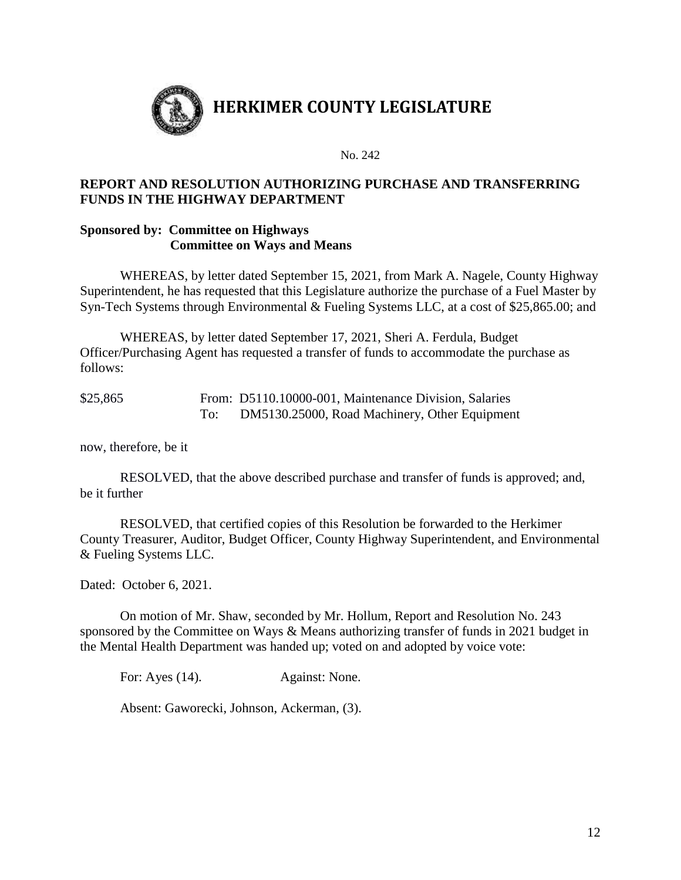

#### **REPORT AND RESOLUTION AUTHORIZING PURCHASE AND TRANSFERRING FUNDS IN THE HIGHWAY DEPARTMENT**

#### **Sponsored by: Committee on Highways Committee on Ways and Means**

WHEREAS, by letter dated September 15, 2021, from Mark A. Nagele, County Highway Superintendent, he has requested that this Legislature authorize the purchase of a Fuel Master by Syn-Tech Systems through Environmental & Fueling Systems LLC, at a cost of \$25,865.00; and

WHEREAS, by letter dated September 17, 2021, Sheri A. Ferdula, Budget Officer/Purchasing Agent has requested a transfer of funds to accommodate the purchase as follows:

| \$25,865 | From: D5110.10000-001, Maintenance Division, Salaries |
|----------|-------------------------------------------------------|
|          | DM5130.25000, Road Machinery, Other Equipment         |

now, therefore, be it

RESOLVED, that the above described purchase and transfer of funds is approved; and, be it further

RESOLVED, that certified copies of this Resolution be forwarded to the Herkimer County Treasurer, Auditor, Budget Officer, County Highway Superintendent, and Environmental & Fueling Systems LLC.

Dated: October 6, 2021.

On motion of Mr. Shaw, seconded by Mr. Hollum, Report and Resolution No. 243 sponsored by the Committee on Ways & Means authorizing transfer of funds in 2021 budget in the Mental Health Department was handed up; voted on and adopted by voice vote:

For: Ayes (14). Against: None.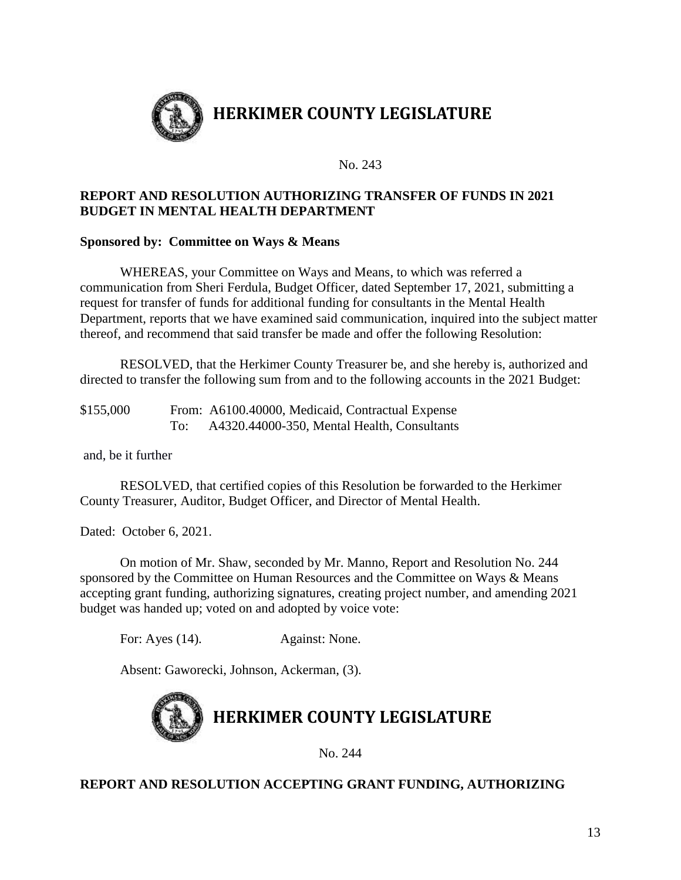

#### **REPORT AND RESOLUTION AUTHORIZING TRANSFER OF FUNDS IN 2021 BUDGET IN MENTAL HEALTH DEPARTMENT**

#### **Sponsored by: Committee on Ways & Means**

WHEREAS, your Committee on Ways and Means, to which was referred a communication from Sheri Ferdula, Budget Officer, dated September 17, 2021, submitting a request for transfer of funds for additional funding for consultants in the Mental Health Department, reports that we have examined said communication, inquired into the subject matter thereof, and recommend that said transfer be made and offer the following Resolution:

RESOLVED, that the Herkimer County Treasurer be, and she hereby is, authorized and directed to transfer the following sum from and to the following accounts in the 2021 Budget:

\$155,000 From: A6100.40000, Medicaid, Contractual Expense To: A4320.44000-350, Mental Health, Consultants

and, be it further

RESOLVED, that certified copies of this Resolution be forwarded to the Herkimer County Treasurer, Auditor, Budget Officer, and Director of Mental Health.

Dated: October 6, 2021.

On motion of Mr. Shaw, seconded by Mr. Manno, Report and Resolution No. 244 sponsored by the Committee on Human Resources and the Committee on Ways & Means accepting grant funding, authorizing signatures, creating project number, and amending 2021 budget was handed up; voted on and adopted by voice vote:

For: Ayes (14). Against: None.

Absent: Gaworecki, Johnson, Ackerman, (3).



No. 244

#### **REPORT AND RESOLUTION ACCEPTING GRANT FUNDING, AUTHORIZING**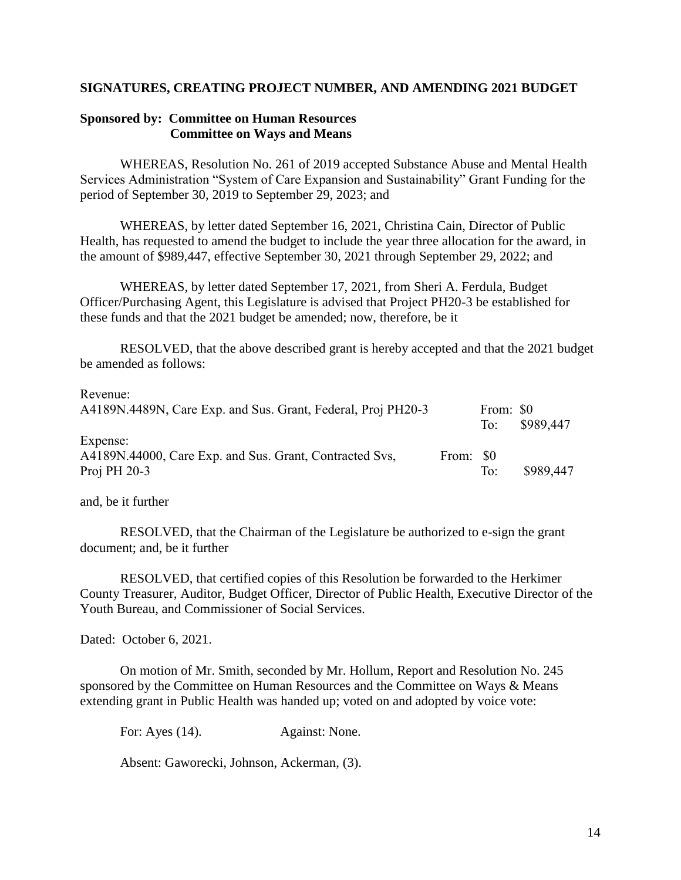#### **SIGNATURES, CREATING PROJECT NUMBER, AND AMENDING 2021 BUDGET**

#### **Sponsored by: Committee on Human Resources Committee on Ways and Means**

WHEREAS, Resolution No. 261 of 2019 accepted Substance Abuse and Mental Health Services Administration "System of Care Expansion and Sustainability" Grant Funding for the period of September 30, 2019 to September 29, 2023; and

WHEREAS, by letter dated September 16, 2021, Christina Cain, Director of Public Health, has requested to amend the budget to include the year three allocation for the award, in the amount of \$989,447, effective September 30, 2021 through September 29, 2022; and

WHEREAS, by letter dated September 17, 2021, from Sheri A. Ferdula, Budget Officer/Purchasing Agent, this Legislature is advised that Project PH20-3 be established for these funds and that the 2021 budget be amended; now, therefore, be it

RESOLVED, that the above described grant is hereby accepted and that the 2021 budget be amended as follows:

| Revenue:                                                     |           |           |           |
|--------------------------------------------------------------|-----------|-----------|-----------|
| A4189N.4489N, Care Exp. and Sus. Grant, Federal, Proj PH20-3 |           | From: \$0 |           |
|                                                              |           | To:       | \$989,447 |
| Expense:                                                     |           |           |           |
| A4189N.44000, Care Exp. and Sus. Grant, Contracted Svs.      | From: \$0 |           |           |
| Proj PH $20-3$                                               |           | To:       | \$989,447 |

and, be it further

RESOLVED, that the Chairman of the Legislature be authorized to e-sign the grant document; and, be it further

RESOLVED, that certified copies of this Resolution be forwarded to the Herkimer County Treasurer, Auditor, Budget Officer, Director of Public Health, Executive Director of the Youth Bureau, and Commissioner of Social Services.

Dated: October 6, 2021.

On motion of Mr. Smith, seconded by Mr. Hollum, Report and Resolution No. 245 sponsored by the Committee on Human Resources and the Committee on Ways & Means extending grant in Public Health was handed up; voted on and adopted by voice vote:

For: Ayes (14). Against: None.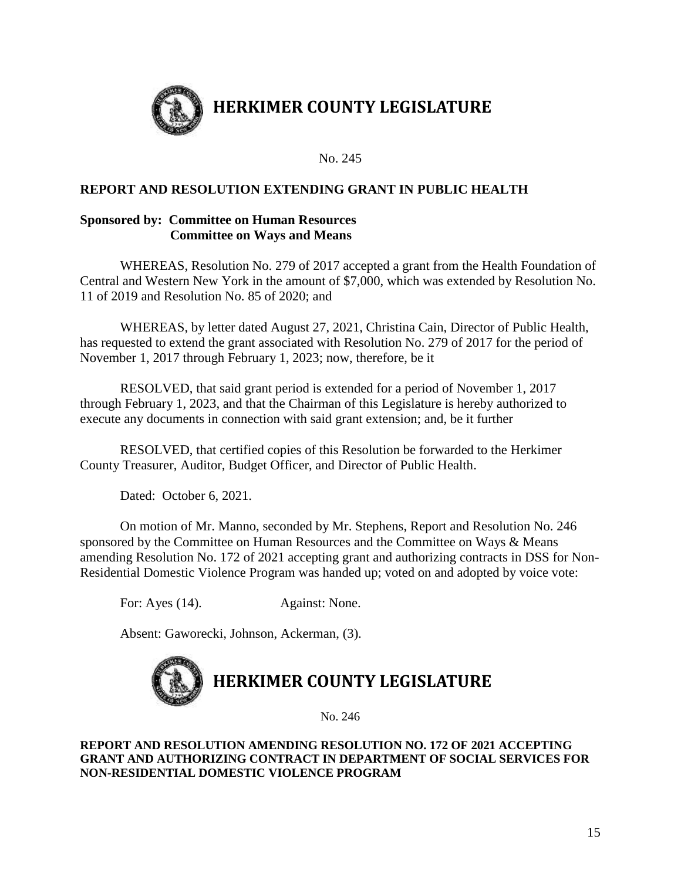

#### **REPORT AND RESOLUTION EXTENDING GRANT IN PUBLIC HEALTH**

#### **Sponsored by: Committee on Human Resources Committee on Ways and Means**

WHEREAS, Resolution No. 279 of 2017 accepted a grant from the Health Foundation of Central and Western New York in the amount of \$7,000, which was extended by Resolution No. 11 of 2019 and Resolution No. 85 of 2020; and

WHEREAS, by letter dated August 27, 2021, Christina Cain, Director of Public Health, has requested to extend the grant associated with Resolution No. 279 of 2017 for the period of November 1, 2017 through February 1, 2023; now, therefore, be it

RESOLVED, that said grant period is extended for a period of November 1, 2017 through February 1, 2023, and that the Chairman of this Legislature is hereby authorized to execute any documents in connection with said grant extension; and, be it further

RESOLVED, that certified copies of this Resolution be forwarded to the Herkimer County Treasurer, Auditor, Budget Officer, and Director of Public Health.

Dated: October 6, 2021.

On motion of Mr. Manno, seconded by Mr. Stephens, Report and Resolution No. 246 sponsored by the Committee on Human Resources and the Committee on Ways & Means amending Resolution No. 172 of 2021 accepting grant and authorizing contracts in DSS for Non-Residential Domestic Violence Program was handed up; voted on and adopted by voice vote:

For: Ayes (14). Against: None.

Absent: Gaworecki, Johnson, Ackerman, (3).



No. 246

#### **REPORT AND RESOLUTION AMENDING RESOLUTION NO. 172 OF 2021 ACCEPTING GRANT AND AUTHORIZING CONTRACT IN DEPARTMENT OF SOCIAL SERVICES FOR NON-RESIDENTIAL DOMESTIC VIOLENCE PROGRAM**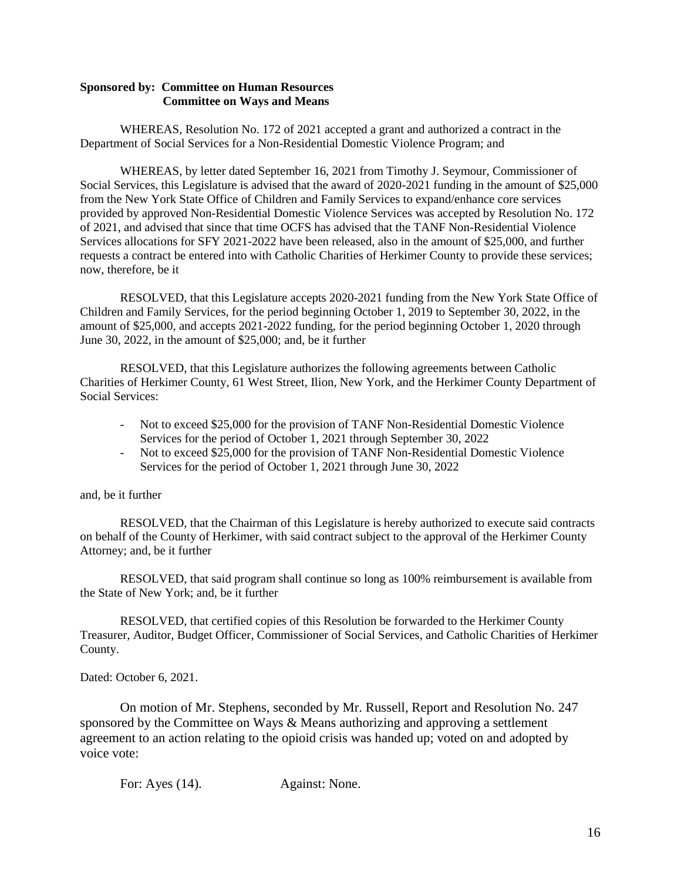#### **Sponsored by: Committee on Human Resources Committee on Ways and Means**

WHEREAS, Resolution No. 172 of 2021 accepted a grant and authorized a contract in the Department of Social Services for a Non-Residential Domestic Violence Program; and

WHEREAS, by letter dated September 16, 2021 from Timothy J. Seymour, Commissioner of Social Services, this Legislature is advised that the award of 2020-2021 funding in the amount of \$25,000 from the New York State Office of Children and Family Services to expand/enhance core services provided by approved Non-Residential Domestic Violence Services was accepted by Resolution No. 172 of 2021, and advised that since that time OCFS has advised that the TANF Non-Residential Violence Services allocations for SFY 2021-2022 have been released, also in the amount of \$25,000, and further requests a contract be entered into with Catholic Charities of Herkimer County to provide these services; now, therefore, be it

RESOLVED, that this Legislature accepts 2020-2021 funding from the New York State Office of Children and Family Services, for the period beginning October 1, 2019 to September 30, 2022, in the amount of \$25,000, and accepts 2021-2022 funding, for the period beginning October 1, 2020 through June 30, 2022, in the amount of \$25,000; and, be it further

RESOLVED, that this Legislature authorizes the following agreements between Catholic Charities of Herkimer County, 61 West Street, Ilion, New York, and the Herkimer County Department of Social Services:

- Not to exceed \$25,000 for the provision of TANF Non-Residential Domestic Violence Services for the period of October 1, 2021 through September 30, 2022
- Not to exceed \$25,000 for the provision of TANF Non-Residential Domestic Violence Services for the period of October 1, 2021 through June 30, 2022

and, be it further

RESOLVED, that the Chairman of this Legislature is hereby authorized to execute said contracts on behalf of the County of Herkimer, with said contract subject to the approval of the Herkimer County Attorney; and, be it further

RESOLVED, that said program shall continue so long as 100% reimbursement is available from the State of New York; and, be it further

RESOLVED, that certified copies of this Resolution be forwarded to the Herkimer County Treasurer, Auditor, Budget Officer, Commissioner of Social Services, and Catholic Charities of Herkimer County.

Dated: October 6, 2021.

On motion of Mr. Stephens, seconded by Mr. Russell, Report and Resolution No. 247 sponsored by the Committee on Ways & Means authorizing and approving a settlement agreement to an action relating to the opioid crisis was handed up; voted on and adopted by voice vote:

For: Ayes (14). Against: None.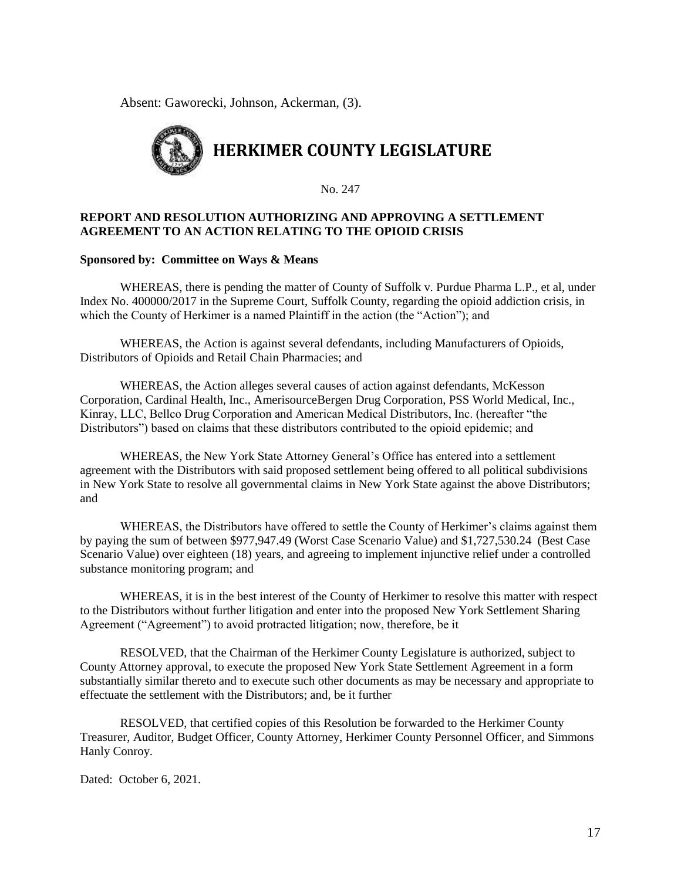Absent: Gaworecki, Johnson, Ackerman, (3).



No. 247

#### **REPORT AND RESOLUTION AUTHORIZING AND APPROVING A SETTLEMENT AGREEMENT TO AN ACTION RELATING TO THE OPIOID CRISIS**

#### **Sponsored by: Committee on Ways & Means**

WHEREAS, there is pending the matter of County of Suffolk v. Purdue Pharma L.P., et al, under Index No. 400000/2017 in the Supreme Court, Suffolk County, regarding the opioid addiction crisis, in which the County of Herkimer is a named Plaintiff in the action (the "Action"); and

WHEREAS, the Action is against several defendants, including Manufacturers of Opioids, Distributors of Opioids and Retail Chain Pharmacies; and

WHEREAS, the Action alleges several causes of action against defendants, McKesson Corporation, Cardinal Health, Inc., AmerisourceBergen Drug Corporation, PSS World Medical, Inc., Kinray, LLC, Bellco Drug Corporation and American Medical Distributors, Inc. (hereafter "the Distributors") based on claims that these distributors contributed to the opioid epidemic; and

WHEREAS, the New York State Attorney General's Office has entered into a settlement agreement with the Distributors with said proposed settlement being offered to all political subdivisions in New York State to resolve all governmental claims in New York State against the above Distributors; and

WHEREAS, the Distributors have offered to settle the County of Herkimer's claims against them by paying the sum of between \$977,947.49 (Worst Case Scenario Value) and \$1,727,530.24 (Best Case Scenario Value) over eighteen (18) years, and agreeing to implement injunctive relief under a controlled substance monitoring program; and

WHEREAS, it is in the best interest of the County of Herkimer to resolve this matter with respect to the Distributors without further litigation and enter into the proposed New York Settlement Sharing Agreement ("Agreement") to avoid protracted litigation; now, therefore, be it

RESOLVED, that the Chairman of the Herkimer County Legislature is authorized, subject to County Attorney approval, to execute the proposed New York State Settlement Agreement in a form substantially similar thereto and to execute such other documents as may be necessary and appropriate to effectuate the settlement with the Distributors; and, be it further

RESOLVED, that certified copies of this Resolution be forwarded to the Herkimer County Treasurer, Auditor, Budget Officer, County Attorney, Herkimer County Personnel Officer, and Simmons Hanly Conroy.

Dated: October 6, 2021.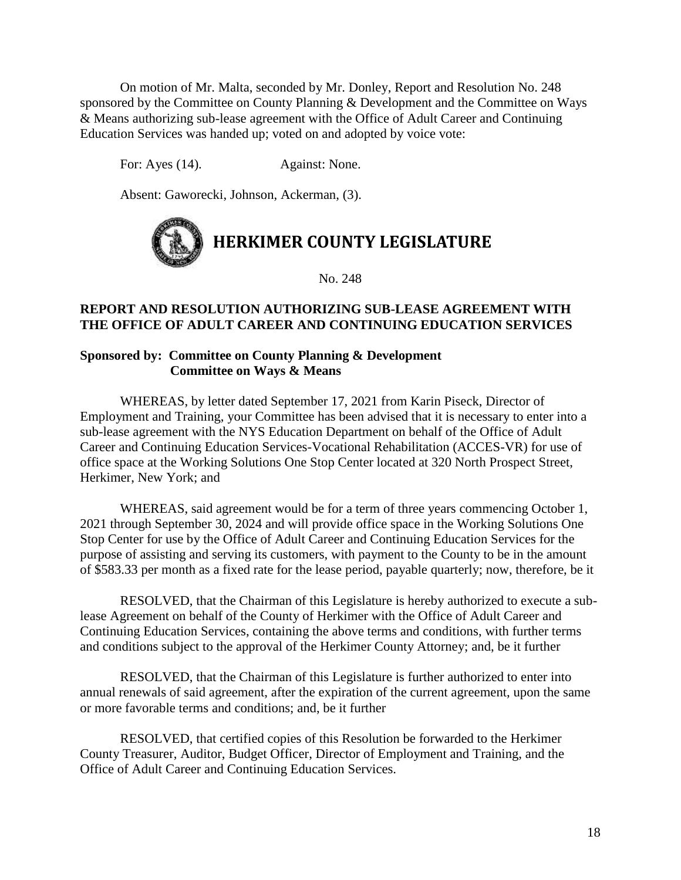On motion of Mr. Malta, seconded by Mr. Donley, Report and Resolution No. 248 sponsored by the Committee on County Planning & Development and the Committee on Ways & Means authorizing sub-lease agreement with the Office of Adult Career and Continuing Education Services was handed up; voted on and adopted by voice vote:

For: Ayes (14). Against: None.

Absent: Gaworecki, Johnson, Ackerman, (3).



No. 248

#### **REPORT AND RESOLUTION AUTHORIZING SUB-LEASE AGREEMENT WITH THE OFFICE OF ADULT CAREER AND CONTINUING EDUCATION SERVICES**

#### **Sponsored by: Committee on County Planning & Development Committee on Ways & Means**

WHEREAS, by letter dated September 17, 2021 from Karin Piseck, Director of Employment and Training, your Committee has been advised that it is necessary to enter into a sub-lease agreement with the NYS Education Department on behalf of the Office of Adult Career and Continuing Education Services-Vocational Rehabilitation (ACCES-VR) for use of office space at the Working Solutions One Stop Center located at 320 North Prospect Street, Herkimer, New York; and

WHEREAS, said agreement would be for a term of three years commencing October 1, 2021 through September 30, 2024 and will provide office space in the Working Solutions One Stop Center for use by the Office of Adult Career and Continuing Education Services for the purpose of assisting and serving its customers, with payment to the County to be in the amount of \$583.33 per month as a fixed rate for the lease period, payable quarterly; now, therefore, be it

RESOLVED, that the Chairman of this Legislature is hereby authorized to execute a sublease Agreement on behalf of the County of Herkimer with the Office of Adult Career and Continuing Education Services, containing the above terms and conditions, with further terms and conditions subject to the approval of the Herkimer County Attorney; and, be it further

RESOLVED, that the Chairman of this Legislature is further authorized to enter into annual renewals of said agreement, after the expiration of the current agreement, upon the same or more favorable terms and conditions; and, be it further

RESOLVED, that certified copies of this Resolution be forwarded to the Herkimer County Treasurer, Auditor, Budget Officer, Director of Employment and Training, and the Office of Adult Career and Continuing Education Services.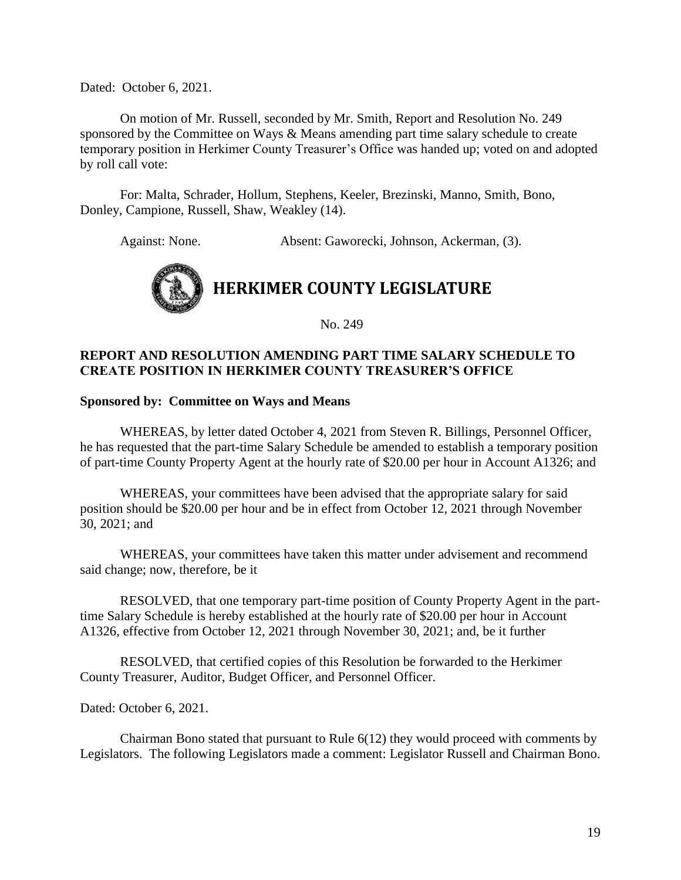Dated: October 6, 2021.

On motion of Mr. Russell, seconded by Mr. Smith, Report and Resolution No. 249 sponsored by the Committee on Ways & Means amending part time salary schedule to create temporary position in Herkimer County Treasurer's Office was handed up; voted on and adopted by roll call vote:

For: Malta, Schrader, Hollum, Stephens, Keeler, Brezinski, Manno, Smith, Bono, Donley, Campione, Russell, Shaw, Weakley (14).

Against: None. Absent: Gaworecki, Johnson, Ackerman, (3).



No. 249

#### **REPORT AND RESOLUTION AMENDING PART TIME SALARY SCHEDULE TO CREATE POSITION IN HERKIMER COUNTY TREASURER'S OFFICE**

#### **Sponsored by: Committee on Ways and Means**

WHEREAS, by letter dated October 4, 2021 from Steven R. Billings, Personnel Officer, he has requested that the part-time Salary Schedule be amended to establish a temporary position of part-time County Property Agent at the hourly rate of \$20.00 per hour in Account A1326; and

WHEREAS, your committees have been advised that the appropriate salary for said position should be \$20.00 per hour and be in effect from October 12, 2021 through November 30, 2021; and

WHEREAS, your committees have taken this matter under advisement and recommend said change; now, therefore, be it

RESOLVED, that one temporary part-time position of County Property Agent in the parttime Salary Schedule is hereby established at the hourly rate of \$20.00 per hour in Account A1326, effective from October 12, 2021 through November 30, 2021; and, be it further

RESOLVED, that certified copies of this Resolution be forwarded to the Herkimer County Treasurer, Auditor, Budget Officer, and Personnel Officer.

Dated: October 6, 2021.

Chairman Bono stated that pursuant to Rule 6(12) they would proceed with comments by Legislators. The following Legislators made a comment: Legislator Russell and Chairman Bono.